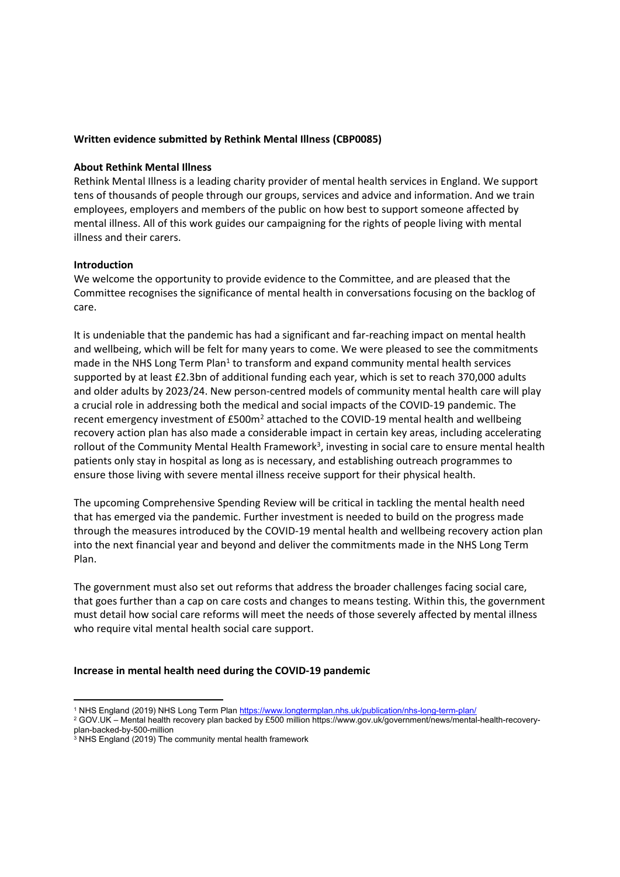# **Written evidence submitted by Rethink Mental Illness (CBP0085)**

### **About Rethink Mental Illness**

Rethink Mental Illness is a leading charity provider of mental health services in England. We support tens of thousands of people through our groups, services and advice and information. And we train employees, employers and members of the public on how best to support someone affected by mental illness. All of this work guides our campaigning for the rights of people living with mental illness and their carers.

# **Introduction**

We welcome the opportunity to provide evidence to the Committee, and are pleased that the Committee recognises the significance of mental health in conversations focusing on the backlog of care.

It is undeniable that the pandemic has had a significant and far-reaching impact on mental health and wellbeing, which will be felt for many years to come. We were pleased to see the commitments made in the NHS Long Term Plan<sup>1</sup> to transform and expand community mental health services supported by at least £2.3bn of additional funding each year, which is set to reach 370,000 adults and older adults by 2023/24. New person-centred models of community mental health care will play a crucial role in addressing both the medical and social impacts of the COVID-19 pandemic. The recent emergency investment of £500m<sup>2</sup> attached to the COVID-19 mental health and wellbeing recovery action plan has also made a considerable impact in certain key areas, including accelerating rollout of the Community Mental Health Framework<sup>3</sup>, investing in social care to ensure mental health patients only stay in hospital as long as is necessary, and establishing outreach programmes to ensure those living with severe mental illness receive support for their physical health.

The upcoming Comprehensive Spending Review will be critical in tackling the mental health need that has emerged via the pandemic. Further investment is needed to build on the progress made through the measures introduced by the COVID-19 mental health and wellbeing recovery action plan into the next financial year and beyond and deliver the commitments made in the NHS Long Term Plan.

The government must also set out reforms that address the broader challenges facing social care, that goes further than a cap on care costs and changes to means testing. Within this, the government must detail how social care reforms will meet the needs of those severely affected by mental illness who require vital mental health social care support.

#### **Increase in mental health need during the COVID-19 pandemic**

<sup>1</sup> NHS England (2019) NHS Long Term Plan <https://www.longtermplan.nhs.uk/publication/nhs-long-term-plan/>

<sup>&</sup>lt;sup>2</sup> GOV.UK – Mental health recovery plan backed by £500 million https://www.gov.uk/government/news/mental-health-recoveryplan-backed-by-500-million

<sup>&</sup>lt;sup>3</sup> NHS England (2019) The community mental health framework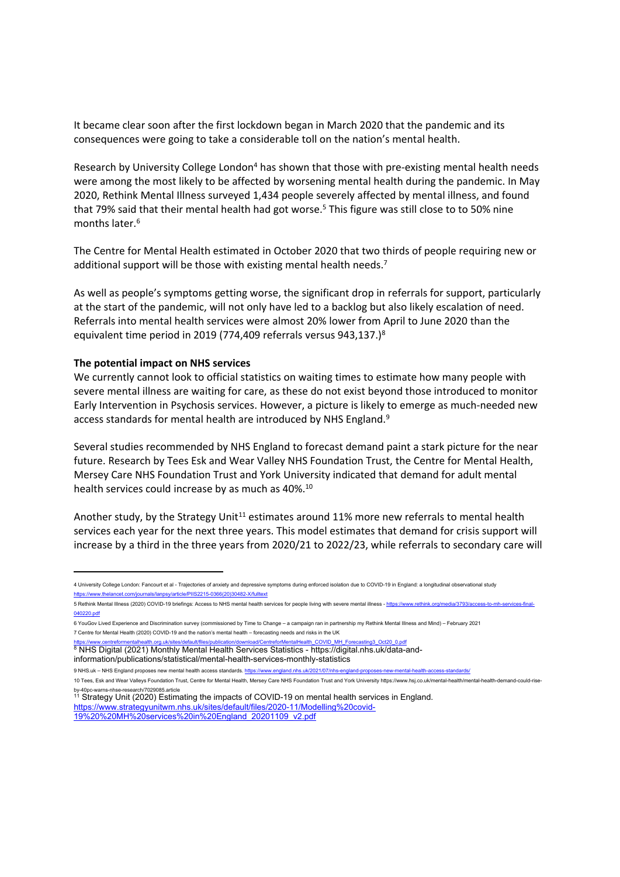It became clear soon after the first lockdown began in March 2020 that the pandemic and its consequences were going to take a considerable toll on the nation's mental health.

Research by University College London<sup>4</sup> has shown that those with pre-existing mental health needs were among the most likely to be affected by worsening mental health during the pandemic. In May 2020, Rethink Mental Illness surveyed 1,434 people severely affected by mental illness, and found that 79% said that their mental health had got worse.<sup>5</sup> This figure was still close to to 50% nine months later.<sup>6</sup>

The Centre for Mental Health estimated in October 2020 that two thirds of people requiring new or additional support will be those with existing mental health needs.<sup>7</sup>

As well as people's symptoms getting worse, the significant drop in referrals for support, particularly at the start of the pandemic, will not only have led to a backlog but also likely escalation of need. Referrals into mental health services were almost 20% lower from April to June 2020 than the equivalent time period in 2019 (774,409 referrals versus 943,137.)<sup>8</sup>

### **The potential impact on NHS services**

We currently cannot look to official statistics on waiting times to estimate how many people with severe mental illness are waiting for care, as these do not exist beyond those introduced to monitor Early Intervention in Psychosis services. However, a picture is likely to emerge as much-needed new access standards for mental health are introduced by NHS England.<sup>9</sup>

Several studies recommended by NHS England to forecast demand paint a stark picture for the near future. Research by Tees Esk and Wear Valley NHS Foundation Trust, the Centre for Mental Health, Mersey Care NHS Foundation Trust and York University indicated that demand for adult mental health services could increase by as much as 40%.<sup>10</sup>

Another study, by the Strategy Unit<sup>11</sup> estimates around 11% more new referrals to mental health services each year for the next three years. This model estimates that demand for crisis support will increase by a third in the three years from 2020/21 to 2022/23, while referrals to secondary care will

<sup>4</sup> University College London: Fancourt et al - Trajectories of anxiety and depressive symptoms during enforced isolation due to COVID-19 in England: a longitudinal observational study /article/PIIS2215-0366(20)30482-X/fulltex

<sup>5</sup> Rethink Mental Illness (2020) COVID-19 briefings: Access to NHS mental health services for people living with severe mental illness - [https://www.rethink.org/media/3793/access-to-mh-services-final-](https://www.rethink.org/media/3793/access-to-mh-services-final-040220.pdf)[040220.pdf](https://www.rethink.org/media/3793/access-to-mh-services-final-040220.pdf)

<sup>6</sup> YouGov Lived Experience and Discrimination survey (commissioned by Time to Change – a campaign ran in partnership my Rethink Mental Illness and Mind) – February 2021 7 Centre for Mental Health (2020) COVID-19 and the nation's mental health – forecasting needs and risks in the UK

[https://www.centreformentalhealth.org.uk/sites/default/files/publication/download/CentreforMentalHealth\\_COVID\\_MH\\_Forecasting3\\_Oct20\\_0.pdf](https://www.centreformentalhealth.org.uk/sites/default/files/publication/download/CentreforMentalHealth_COVID_MH_Forecasting3_Oct20_0.pdf)

<sup>8</sup> NHS Digital (2021) Monthly Mental Health Services Statistics - https://digital.nhs.uk/data-andinformation/publications/statistical/mental-health-services-monthly-statistics

<sup>9</sup> NHS.uk – NHS England proposes new mental health access standards. <https://www.england.nhs.uk/2021/07/nhs-england-proposes-new-mental-health-access-standards/>

<sup>10</sup> Tees, Esk and Wear Valleys Foundation Trust, Centre for Mental Health, Mersey Care NHS Foundation Trust and York University https://www.hsj.co.uk/mental-health/mental-health-demand-could-riseby-40pc-warns-nhse-research/7029085.article

<sup>&</sup>lt;sup>11</sup> Strategy Unit (2020) Estimating the impacts of COVID-19 on mental health services in England. [https://www.strategyunitwm.nhs.uk/sites/default/files/2020-11/Modelling%20covid-](https://www.strategyunitwm.nhs.uk/sites/default/files/2020-11/Modelling%20covid-19%20%20MH%20services%20in%20England_20201109_v2.pdf)[19%20%20MH%20services%20in%20England\\_20201109\\_v2.pdf](https://www.strategyunitwm.nhs.uk/sites/default/files/2020-11/Modelling%20covid-19%20%20MH%20services%20in%20England_20201109_v2.pdf)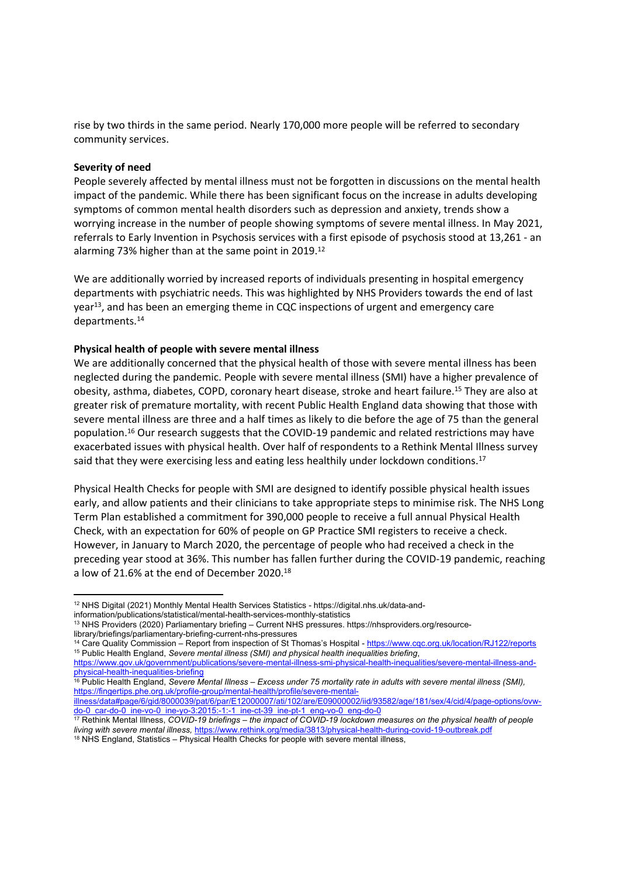rise by two thirds in the same period. Nearly 170,000 more people will be referred to secondary community services.

### **Severity of need**

People severely affected by mental illness must not be forgotten in discussions on the mental health impact of the pandemic. While there has been significant focus on the increase in adults developing symptoms of common mental health disorders such as depression and anxiety, trends show a worrying increase in the number of people showing symptoms of severe mental illness. In May 2021, referrals to Early Invention in Psychosis services with a first episode of psychosis stood at 13,261 - an alarming 73% higher than at the same point in 2019.<sup>12</sup>

We are additionally worried by increased reports of individuals presenting in hospital emergency departments with psychiatric needs. This was highlighted by NHS Providers towards the end of last year<sup>13</sup>, and has been an emerging theme in CQC inspections of urgent and emergency care departments.<sup>14</sup>

# **Physical health of people with severe mental illness**

We are additionally concerned that the physical health of those with severe mental illness has been neglected during the pandemic. People with severe mental illness (SMI) have a higher prevalence of obesity, asthma, diabetes, COPD, coronary heart disease, stroke and heart failure.<sup>15</sup> They are also at greater risk of premature mortality, with recent Public Health England data showing that those with severe mental illness are three and a half times as likely to die before the age of 75 than the general population.<sup>16</sup> Our research suggests that the COVID-19 pandemic and related restrictions may have exacerbated issues with physical health. Over half of respondents to a Rethink Mental Illness survey said that they were exercising less and eating less healthily under lockdown conditions.<sup>17</sup>

Physical Health Checks for people with SMI are designed to identify possible physical health issues early, and allow patients and their clinicians to take appropriate steps to minimise risk. The NHS Long Term Plan established a commitment for 390,000 people to receive a full annual Physical Health Check, with an expectation for 60% of people on GP Practice SMI registers to receive a check. However, in January to March 2020, the percentage of people who had received a check in the preceding year stood at 36%. This number has fallen further during the COVID-19 pandemic, reaching a low of 21.6% at the end of December 2020.<sup>18</sup>

information/publications/statistical/mental-health-services-monthly-statistics

<sup>12</sup> NHS Digital (2021) Monthly Mental Health Services Statistics - https://digital.nhs.uk/data-and-

<sup>13</sup> NHS Providers (2020) Parliamentary briefing – Current NHS pressures. https://nhsproviders.org/resourcelibrary/briefings/parliamentary-briefing-current-nhs-pressures

<sup>&</sup>lt;sup>14</sup> Care Quality Commission – Report from inspection of St Thomas's Hospital - <https://www.cqc.org.uk/location/RJ122/reports> <sup>15</sup> Public Health England, *Severe mental illness (SMI) and physical health inequalities briefing*,

[https://www.gov.uk/government/publications/severe-mental-illness-smi-physical-health-inequalities/severe-mental-illness-and](https://www.gov.uk/government/publications/severe-mental-illness-smi-physical-health-inequalities/severe-mental-illness-and-physical-health-inequalities-briefing)[physical-health-inequalities-briefing](https://www.gov.uk/government/publications/severe-mental-illness-smi-physical-health-inequalities/severe-mental-illness-and-physical-health-inequalities-briefing)

<sup>&</sup>lt;sup>16</sup> Public Health England, Severe Mental Illness - Excess under 75 mortality rate in adults with severe mental illness (SMI), [https://fingertips.phe.org.uk/profile-group/mental-health/profile/severe-mental-](https://fingertips.phe.org.uk/profile-group/mental-health/profile/severe-mental-illness/data#page/6/gid/8000039/pat/6/par/E12000007/ati/102/are/E09000002/iid/93582/age/181/sex/4/cid/4/page-options/ovw-do-0_car-do-0_ine-vo-0_ine-yo-3:2015:-1:-1_ine-ct-39_ine-pt-1_eng-vo-0_eng-do-0)

[illness/data#page/6/gid/8000039/pat/6/par/E12000007/ati/102/are/E09000002/iid/93582/age/181/sex/4/cid/4/page-options/ovw](https://fingertips.phe.org.uk/profile-group/mental-health/profile/severe-mental-illness/data#page/6/gid/8000039/pat/6/par/E12000007/ati/102/are/E09000002/iid/93582/age/181/sex/4/cid/4/page-options/ovw-do-0_car-do-0_ine-vo-0_ine-yo-3:2015:-1:-1_ine-ct-39_ine-pt-1_eng-vo-0_eng-do-0)[do-0\\_car-do-0\\_ine-vo-0\\_ine-yo-3:2015:-1:-1\\_ine-ct-39\\_ine-pt-1\\_eng-vo-0\\_eng-do-0](https://fingertips.phe.org.uk/profile-group/mental-health/profile/severe-mental-illness/data#page/6/gid/8000039/pat/6/par/E12000007/ati/102/are/E09000002/iid/93582/age/181/sex/4/cid/4/page-options/ovw-do-0_car-do-0_ine-vo-0_ine-yo-3:2015:-1:-1_ine-ct-39_ine-pt-1_eng-vo-0_eng-do-0)

<sup>&</sup>lt;sup>17</sup> Rethink Mental Illness, COVID-19 briefings - the impact of COVID-19 lockdown measures on the physical health of people *living with severe mental illness,* <https://www.rethink.org/media/3813/physical-health-during-covid-19-outbreak.pdf> <sup>18</sup> NHS England, Statistics – Physical Health Checks for people with severe mental illness,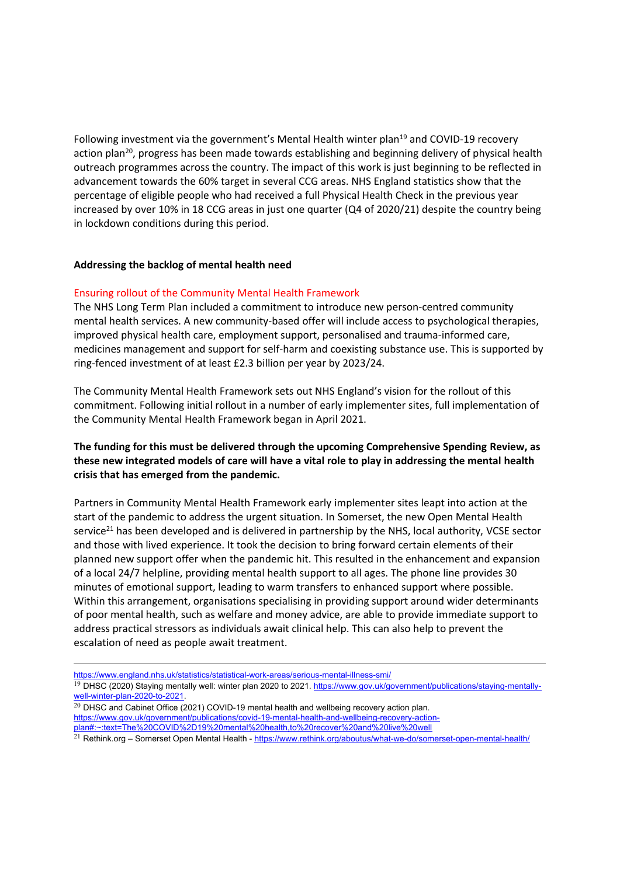Following investment via the government's Mental Health winter plan<sup>19</sup> and COVID-19 recovery action plan<sup>20</sup>, progress has been made towards establishing and beginning delivery of physical health outreach programmes across the country. The impact of this work is just beginning to be reflected in advancement towards the 60% target in several CCG areas. NHS England statistics show that the percentage of eligible people who had received a full Physical Health Check in the previous year increased by over 10% in 18 CCG areas in just one quarter (Q4 of 2020/21) despite the country being in lockdown conditions during this period.

# **Addressing the backlog of mental health need**

# Ensuring rollout of the Community Mental Health Framework

The NHS Long Term Plan included a commitment to introduce new person-centred community mental health services. A new community-based offer will include access to psychological therapies, improved physical health care, employment support, personalised and trauma-informed care, medicines management and support for self-harm and coexisting substance use. This is supported by ring-fenced investment of at least £2.3 billion per year by 2023/24.

The Community Mental Health Framework sets out NHS England's vision for the rollout of this commitment. Following initial rollout in a number of early implementer sites, full implementation of the Community Mental Health Framework began in April 2021.

# **The funding for this must be delivered through the upcoming Comprehensive Spending Review, as these new integrated models of care will have a vital role to play in addressing the mental health crisis that has emerged from the pandemic.**

Partners in Community Mental Health Framework early implementer sites leapt into action at the start of the pandemic to address the urgent situation. In Somerset, the new Open Mental Health service<sup>21</sup> has been developed and is delivered in partnership by the NHS, local authority, VCSE sector and those with lived experience. It took the decision to bring forward certain elements of their planned new support offer when the pandemic hit. This resulted in the enhancement and expansion of a local 24/7 helpline, providing mental health support to all ages. The phone line provides 30 minutes of emotional support, leading to warm transfers to enhanced support where possible. Within this arrangement, organisations specialising in providing support around wider determinants of poor mental health, such as welfare and money advice, are able to provide immediate support to address practical stressors as individuals await clinical help. This can also help to prevent the escalation of need as people await treatment.

<https://www.england.nhs.uk/statistics/statistical-work-areas/serious-mental-illness-smi/>

 $^{20}$  DHSC and Cabinet Office (2021) COVID-19 mental health and wellbeing recovery action plan. [https://www.gov.uk/government/publications/covid-19-mental-health-and-wellbeing-recovery-action](https://www.gov.uk/government/publications/covid-19-mental-health-and-wellbeing-recovery-action-plan#:~:text=The%20COVID-19%20mental%20health,to%20recover%20and%20live%20well)[plan#:~:text=The%20COVID%2D19%20mental%20health,to%20recover%20and%20live%20well](https://www.gov.uk/government/publications/covid-19-mental-health-and-wellbeing-recovery-action-plan#:~:text=The%20COVID-19%20mental%20health,to%20recover%20and%20live%20well)

<sup>&</sup>lt;sup>19</sup> DHSC (2020) Staying mentally well: winter plan 2020 to 2021. [https://www.gov.uk/government/publications/staying-mentally](https://www.gov.uk/government/publications/staying-mentally-well-winter-plan-2020-to-2021)[well-winter-plan-2020-to-2021.](https://www.gov.uk/government/publications/staying-mentally-well-winter-plan-2020-to-2021)

 $^{21}$  Rethink.org – Somerset Open Mental Health - <https://www.rethink.org/aboutus/what-we-do/somerset-open-mental-health/>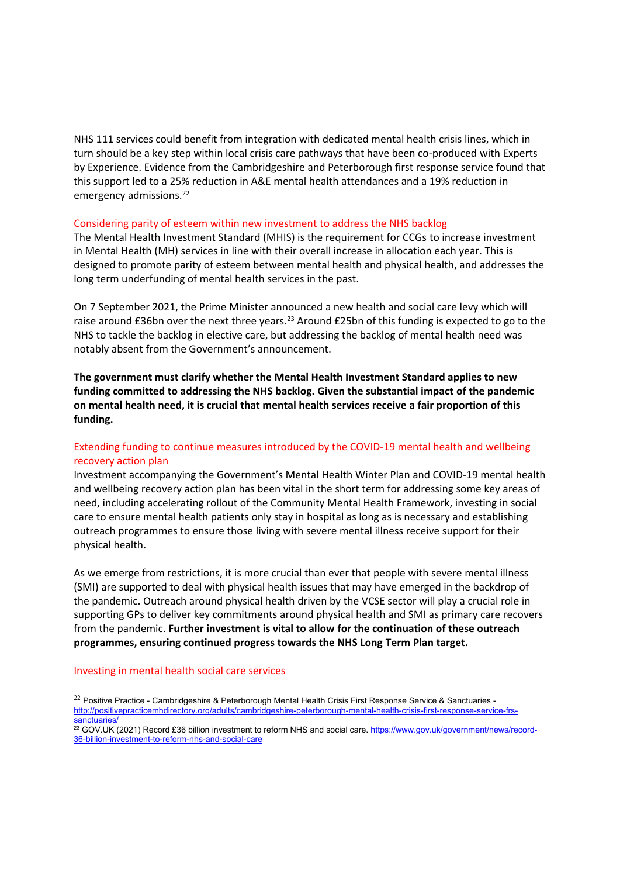NHS 111 services could benefit from integration with dedicated mental health crisis lines, which in turn should be a key step within local crisis care pathways that have been co-produced with Experts by Experience. Evidence from the Cambridgeshire and Peterborough first response service found that this support led to a 25% reduction in A&E mental health attendances and a 19% reduction in emergency admissions.<sup>22</sup>

#### Considering parity of esteem within new investment to address the NHS backlog

The Mental Health Investment Standard (MHIS) is the requirement for CCGs to increase investment in Mental Health (MH) services in line with their overall increase in allocation each year. This is designed to promote parity of esteem between mental health and physical health, and addresses the long term underfunding of mental health services in the past.

On 7 September 2021, the Prime Minister announced a new health and social care levy which will raise around £36bn over the next three years.<sup>23</sup> Around £25bn of this funding is expected to go to the NHS to tackle the backlog in elective care, but addressing the backlog of mental health need was notably absent from the Government's announcement.

**The government must clarify whether the Mental Health Investment Standard applies to new funding committed to addressing the NHS backlog. Given the substantial impact of the pandemic on mental health need, it is crucial that mental health services receive a fair proportion of this funding.**

# Extending funding to continue measures introduced by the COVID-19 mental health and wellbeing recovery action plan

Investment accompanying the Government's Mental Health Winter Plan and COVID-19 mental health and wellbeing recovery action plan has been vital in the short term for addressing some key areas of need, including accelerating rollout of the Community Mental Health Framework, investing in social care to ensure mental health patients only stay in hospital as long as is necessary and establishing outreach programmes to ensure those living with severe mental illness receive support for their physical health.

As we emerge from restrictions, it is more crucial than ever that people with severe mental illness (SMI) are supported to deal with physical health issues that may have emerged in the backdrop of the pandemic. Outreach around physical health driven by the VCSE sector will play a crucial role in supporting GPs to deliver key commitments around physical health and SMI as primary care recovers from the pandemic. **Further investment is vital to allow for the continuation of these outreach programmes, ensuring continued progress towards the NHS Long Term Plan target.**

#### Investing in mental health social care services

<sup>&</sup>lt;sup>22</sup> Positive Practice - Cambridgeshire & Peterborough Mental Health Crisis First Response Service & Sanctuaries [http://positivepracticemhdirectory.org/adults/cambridgeshire-peterborough-mental-health-crisis-first-response-service-frs](http://positivepracticemhdirectory.org/adults/cambridgeshire-peterborough-mental-health-crisis-first-response-service-frs-sanctuaries/)[sanctuaries/](http://positivepracticemhdirectory.org/adults/cambridgeshire-peterborough-mental-health-crisis-first-response-service-frs-sanctuaries/)

<sup>&</sup>lt;sup>23</sup> GOV.UK (2021) Record £36 billion investment to reform NHS and social care. [https://www.gov.uk/government/news/record-](https://www.gov.uk/government/news/record-36-billion-investment-to-reform-nhs-and-social-care)[36-billion-investment-to-reform-nhs-and-social-care](https://www.gov.uk/government/news/record-36-billion-investment-to-reform-nhs-and-social-care)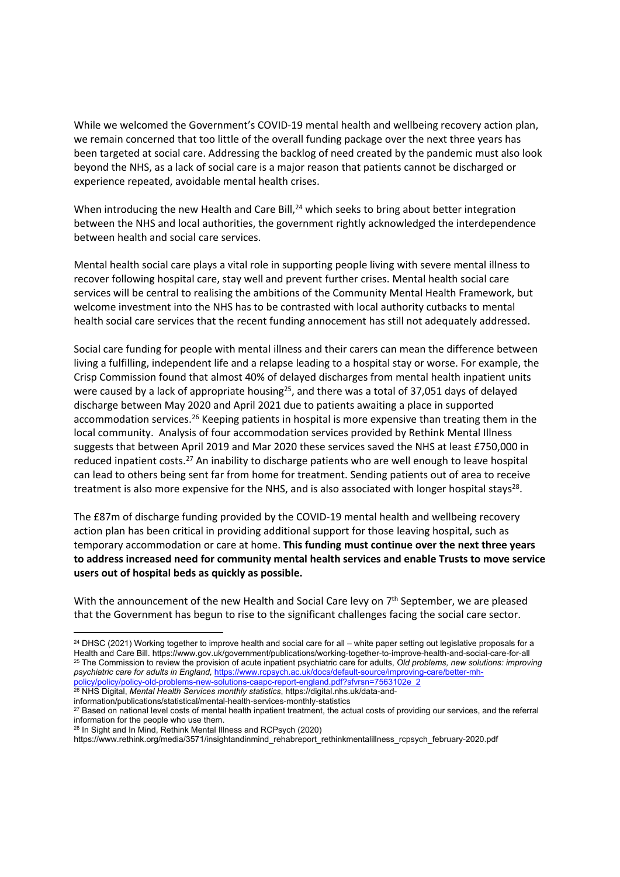While we welcomed the Government's COVID-19 mental health and wellbeing recovery action plan, we remain concerned that too little of the overall funding package over the next three years has been targeted at social care. Addressing the backlog of need created by the pandemic must also look beyond the NHS, as a lack of social care is a major reason that patients cannot be discharged or experience repeated, avoidable mental health crises.

When introducing the new Health and Care Bill,<sup>24</sup> which seeks to bring about better integration between the NHS and local authorities, the government rightly acknowledged the interdependence between health and social care services.

Mental health social care plays a vital role in supporting people living with severe mental illness to recover following hospital care, stay well and prevent further crises. Mental health social care services will be central to realising the ambitions of the Community Mental Health Framework, but welcome investment into the NHS has to be contrasted with local authority cutbacks to mental health social care services that the recent funding annocement has still not adequately addressed.

Social care funding for people with mental illness and their carers can mean the difference between living a fulfilling, independent life and a relapse leading to a hospital stay or worse. For example, the Crisp Commission found that almost 40% of delayed discharges from mental health inpatient units were caused by a lack of appropriate housing<sup>25</sup>, and there was a total of 37,051 days of delayed discharge between May 2020 and April 2021 due to patients awaiting a place in supported accommodation services.<sup>26</sup> Keeping patients in hospital is more expensive than treating them in the local community. Analysis of four accommodation services provided by Rethink Mental Illness suggests that between April 2019 and Mar 2020 these services saved the NHS at least £750,000 in reduced inpatient costs.<sup>27</sup> An inability to discharge patients who are well enough to leave hospital can lead to others being sent far from home for treatment. Sending patients out of area to receive treatment is also more expensive for the NHS, and is also associated with longer hospital stays<sup>28</sup>.

The £87m of discharge funding provided by the COVID-19 mental health and wellbeing recovery action plan has been critical in providing additional support for those leaving hospital, such as temporary accommodation or care at home. **This funding must continue over the next three years to address increased need for community mental health services and enable Trusts to move service users out of hospital beds as quickly as possible.**

With the announcement of the new Health and Social Care levy on 7<sup>th</sup> September, we are pleased that the Government has begun to rise to the significant challenges facing the social care sector.

<sup>&</sup>lt;sup>24</sup> DHSC (2021) Working together to improve health and social care for all – white paper setting out legislative proposals for a Health and Care Bill. https://www.gov.uk/government/publications/working-together-to-improve-health-and-social-care-for-all <sup>25</sup> The Commission to review the provision of acute inpatient psychiatric care for adults, *Old problems, new solutions: improving psychiatric care for adults in England,* [https://www.rcpsych.ac.uk/docs/default-source/improving-care/better-mh](https://www.rcpsych.ac.uk/docs/default-source/improving-care/better-mh-policy/policy/policy-old-problems-new-solutions-caapc-report-england.pdf?sfvrsn=7563102e_2)[policy/policy/policy-old-problems-new-solutions-caapc-report-england.pdf?sfvrsn=7563102e\\_2](https://www.rcpsych.ac.uk/docs/default-source/improving-care/better-mh-policy/policy/policy-old-problems-new-solutions-caapc-report-england.pdf?sfvrsn=7563102e_2)

<sup>26</sup> NHS Digital, *Mental Health Services monthly statistics*, https://digital.nhs.uk/data-andinformation/publications/statistical/mental-health-services-monthly-statistics

<sup>27</sup> Based on national level costs of mental health inpatient treatment, the actual costs of providing our services, and the referral information for the people who use them.

<sup>28</sup> In Sight and In Mind, Rethink Mental Illness and RCPsych (2020)

https://www.rethink.org/media/3571/insightandinmind\_rehabreport\_rethinkmentalillness\_rcpsych\_february-2020.pdf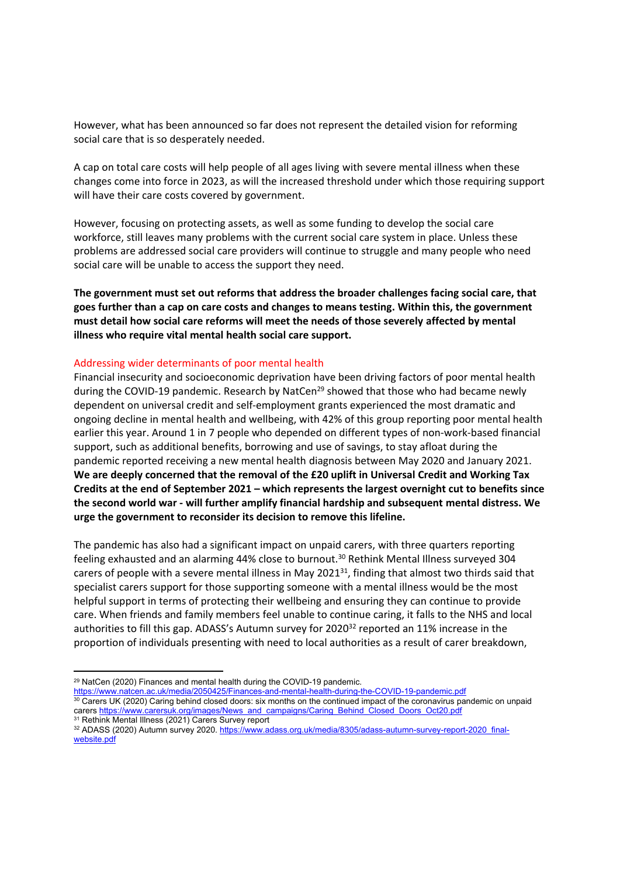However, what has been announced so far does not represent the detailed vision for reforming social care that is so desperately needed.

A cap on total care costs will help people of all ages living with severe mental illness when these changes come into force in 2023, as will the increased threshold under which those requiring support will have their care costs covered by government.

However, focusing on protecting assets, as well as some funding to develop the social care workforce, still leaves many problems with the current social care system in place. Unless these problems are addressed social care providers will continue to struggle and many people who need social care will be unable to access the support they need.

**The government must set out reforms that address the broader challenges facing social care, that goes further than a cap on care costs and changes to means testing. Within this, the government must detail how social care reforms will meet the needs of those severely affected by mental illness who require vital mental health social care support.**

#### Addressing wider determinants of poor mental health

Financial insecurity and socioeconomic deprivation have been driving factors of poor mental health during the COVID-19 pandemic. Research by NatCen<sup>29</sup> showed that those who had became newly dependent on universal credit and self-employment grants experienced the most dramatic and ongoing decline in mental health and wellbeing, with 42% of this group reporting poor mental health earlier this year. Around 1 in 7 people who depended on different types of non-work-based financial support, such as additional benefits, borrowing and use of savings, to stay afloat during the pandemic reported receiving a new mental health diagnosis between May 2020 and January 2021. **We are deeply concerned that the removal of the £20 uplift in Universal Credit and Working Tax Credits at the end of September 2021 – which represents the largest overnight cut to benefits since the second world war - will further amplify financial hardship and subsequent mental distress. We urge the government to reconsider its decision to remove this lifeline.**

The pandemic has also had a significant impact on unpaid carers, with three quarters reporting feeling exhausted and an alarming 44% close to burnout.<sup>30</sup> Rethink Mental Illness surveyed 304 carers of people with a severe mental illness in May 2021<sup>31</sup>, finding that almost two thirds said that specialist carers support for those supporting someone with a mental illness would be the most helpful support in terms of protecting their wellbeing and ensuring they can continue to provide care. When friends and family members feel unable to continue caring, it falls to the NHS and local authorities to fill this gap. ADASS's Autumn survey for 2020<sup>32</sup> reported an 11% increase in the proportion of individuals presenting with need to local authorities as a result of carer breakdown,

<sup>29</sup> NatCen (2020) Finances and mental health during the COVID-19 pandemic.

<https://www.natcen.ac.uk/media/2050425/Finances-and-mental-health-during-the-COVID-19-pandemic.pdf>

<sup>&</sup>lt;sup>30</sup> Carers UK (2020) Caring behind closed doors: six months on the continued impact of the coronavirus pandemic on unpaid carers [https://www.carersuk.org/images/News\\_and\\_campaigns/Caring\\_Behind\\_Closed\\_Doors\\_Oct20.pdf](https://www.carersuk.org/images/News_and_campaigns/Caring_Behind_Closed_Doors_Oct20.pdf)

<sup>&</sup>lt;sup>31</sup> Rethink Mental Illness (2021) Carers Survey report <sup>32</sup> ADASS (2020) Autumn survey 2020. [https://www.adass.org.uk/media/8305/adass-autumn-survey-report-2020\\_final](https://www.adass.org.uk/media/8305/adass-autumn-survey-report-2020_final-website.pdf)[website.pdf](https://www.adass.org.uk/media/8305/adass-autumn-survey-report-2020_final-website.pdf)